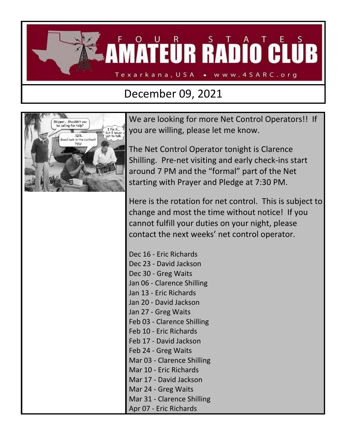

## December 09, 2021



We are looking for more Net Control Operators!! If you are willing, please let me know.

The Net Control Operator tonight is Clarence Shilling. Pre-net visiting and early check-ins start around 7 PM and the "formal" part of the Net starting with Prayer and Pledge at 7:30 PM.

Here is the rotation for net control. This is subject to change and most the time without notice! If you cannot fulfill your duties on your night, please contact the next weeks' net control operator.

Dec 16 - Eric Richards Dec 23 - David Jackson Dec 30 - Greg Waits Jan 06 - Clarence Shilling Jan 13 - Eric Richards Jan 20 - David Jackson Jan 27 - Greg Waits Feb 03 - Clarence Shilling Feb 10 - Eric Richards Feb 17 - David Jackson Feb 24 - Greg Waits Mar 03 - Clarence Shilling Mar 10 - Eric Richards Mar 17 - David Jackson Mar 24 - Greg Waits Mar 31 - Clarence Shilling Apr 07 - Eric Richards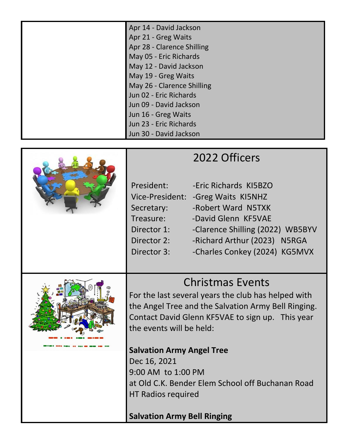| Apr 14 - David Jackson<br>Apr 21 - Greg Waits |
|-----------------------------------------------|
| Apr 28 - Clarence Shilling                    |
| May 05 - Eric Richards                        |
| May 12 - David Jackson                        |
| May 19 - Greg Waits                           |
| May 26 - Clarence Shilling                    |
| Jun 02 - Eric Richards                        |
| Jun 09 - David Jackson                        |
| Jun 16 - Greg Waits                           |
| Jun 23 - Eric Richards                        |
| Jun 30 - David Jackson                        |



| President:  | -Eric Richards KI5BZO               |
|-------------|-------------------------------------|
|             | Vice-President: - Greg Waits KI5NHZ |
| Secretary:  | -Robert Ward N5TXK                  |
| Treasure:   | -David Glenn KF5VAE                 |
| Director 1: | -Clarence Shilling (2022) WB5BYV    |
| Director 2: | -Richard Arthur (2023) N5RGA        |
| Director 3: | -Charles Conkey (2024) KG5MVX       |
|             |                                     |



## Christmas Events

For the last several years the club has helped with the Angel Tree and the Salvation Army Bell Ringing. Contact David Glenn KF5VAE to sign up. This year the events will be held:

**Salvation Army Angel Tree** Dec 16, 2021 9:00 AM to 1:00 PM at Old C.K. Bender Elem School off Buchanan Road HT Radios required

**Salvation Army Bell Ringing**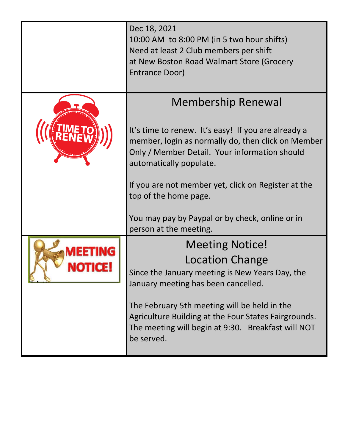| Dec 18, 2021<br>10:00 AM to 8:00 PM (in 5 two hour shifts)<br>Need at least 2 Club members per shift<br>at New Boston Road Walmart Store (Grocery<br>Entrance Door)                                                                                                                                                                                   |  |
|-------------------------------------------------------------------------------------------------------------------------------------------------------------------------------------------------------------------------------------------------------------------------------------------------------------------------------------------------------|--|
| <b>Membership Renewal</b><br>It's time to renew. It's easy! If you are already a<br>member, login as normally do, then click on Member<br>Only / Member Detail. Your information should<br>automatically populate.<br>If you are not member yet, click on Register at the<br>top of the home page.<br>You may pay by Paypal or by check, online or in |  |
| person at the meeting.<br><b>Meeting Notice!</b>                                                                                                                                                                                                                                                                                                      |  |
| <b>Location Change</b><br>Since the January meeting is New Years Day, the<br>January meeting has been cancelled.<br>The February 5th meeting will be held in the<br>Agriculture Building at the Four States Fairgrounds.<br>The meeting will begin at 9:30. Breakfast will NOT<br>be served.                                                          |  |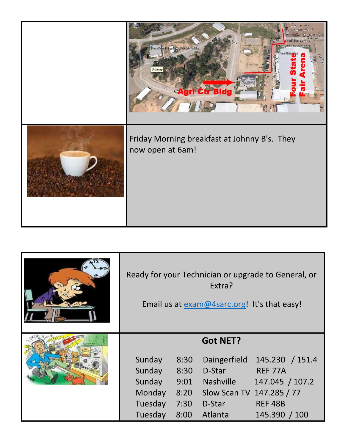| $-171$<br><b>BITATRAFIC</b><br><b>From States Fishprooffischen Ark Buildh</b><br>Bitmar<br>Agri Ctr Bldg |
|----------------------------------------------------------------------------------------------------------|
| Friday Morning breakfast at Johnny B's. They<br>now open at 6am!                                         |

| Ready for your Technician or upgrade to General, or<br>Extra?<br>Email us at exam@4sarc.org! It's that easy! |                                              |                                                                                                                 |                                                                                  |
|--------------------------------------------------------------------------------------------------------------|----------------------------------------------|-----------------------------------------------------------------------------------------------------------------|----------------------------------------------------------------------------------|
| Sunday<br>Sunday<br>Sunday<br>Monday<br>Tuesday<br>Tuesday                                                   | 8:30<br>8:30<br>9:01<br>8:20<br>7:30<br>8:00 | <b>Got NET?</b><br>Daingerfield<br>D-Star<br><b>Nashville</b><br>Slow Scan TV 147.285 / 77<br>D-Star<br>Atlanta | 145.230 / 151.4<br>REF 77A<br>147.045 / 107.2<br><b>REF 48B</b><br>145.390 / 100 |